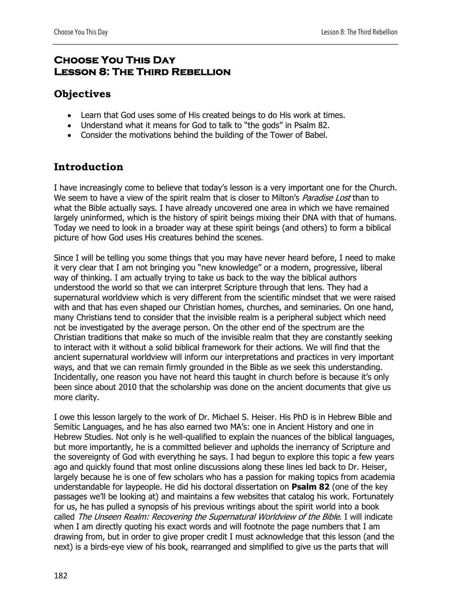## **Choose You This Day Lesson 8: The Third Rebellion**

## **Objectives**

- Learn that God uses some of His created beings to do His work at times.
- Understand what it means for God to talk to "the gods" in Psalm 82.
- Consider the motivations behind the building of the Tower of Babel.

# **Introduction**

I have increasingly come to believe that today's lesson is a very important one for the Church. We seem to have a view of the spirit realm that is closer to Milton's *Paradise Lost* than to what the Bible actually says. I have already uncovered one area in which we have remained largely uninformed, which is the history of spirit beings mixing their DNA with that of humans. Today we need to look in a broader way at these spirit beings (and others) to form a biblical picture of how God uses His creatures behind the scenes.

Since I will be telling you some things that you may have never heard before, I need to make it very clear that I am not bringing you "new knowledge" or a modern, progressive, liberal way of thinking. I am actually trying to take us back to the way the biblical authors understood the world so that we can interpret Scripture through that lens. They had a supernatural worldview which is very different from the scientific mindset that we were raised with and that has even shaped our Christian homes, churches, and seminaries. On one hand, many Christians tend to consider that the invisible realm is a peripheral subject which need not be investigated by the average person. On the other end of the spectrum are the Christian traditions that make so much of the invisible realm that they are constantly seeking to interact with it without a solid biblical framework for their actions. We will find that the ancient supernatural worldview will inform our interpretations and practices in very important ways, and that we can remain firmly grounded in the Bible as we seek this understanding. Incidentally, one reason you have not heard this taught in church before is because it's only been since about 2010 that the scholarship was done on the ancient documents that give us more clarity.

I owe this lesson largely to the work of Dr. Michael S. Heiser. His PhD is in Hebrew Bible and Semitic Languages, and he has also earned two MA's: one in Ancient History and one in Hebrew Studies. Not only is he well-qualified to explain the nuances of the biblical languages, but more importantly, he is a committed believer and upholds the inerrancy of Scripture and the sovereignty of God with everything he says. I had begun to explore this topic a few years ago and quickly found that most online discussions along these lines led back to Dr. Heiser, largely because he is one of few scholars who has a passion for making topics from academia understandable for laypeople. He did his doctoral dissertation on **Psalm 82** (one of the key passages we'll be looking at) and maintains a few websites that catalog his work. Fortunately for us, he has pulled a synopsis of his previous writings about the spirit world into a book called The Unseen Realm: Recovering the Supernatural Worldview of the Bible. I will indicate when I am directly quoting his exact words and will footnote the page numbers that I am drawing from, but in order to give proper credit I must acknowledge that this lesson (and the next) is a birds-eye view of his book, rearranged and simplified to give us the parts that will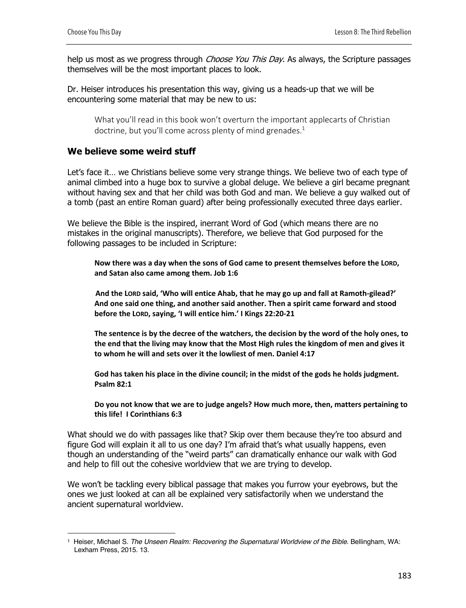help us most as we progress through *Choose You This Day*. As always, the Scripture passages themselves will be the most important places to look.

Dr. Heiser introduces his presentation this way, giving us a heads-up that we will be encountering some material that may be new to us:

What you'll read in this book won't overturn the important applecarts of Christian doctrine, but you'll come across plenty of mind grenades.<sup>1</sup>

#### **We believe some weird stuff**

Let's face it… we Christians believe some very strange things. We believe two of each type of animal climbed into a huge box to survive a global deluge. We believe a girl became pregnant without having sex and that her child was both God and man. We believe a guy walked out of a tomb (past an entire Roman guard) after being professionally executed three days earlier.

We believe the Bible is the inspired, inerrant Word of God (which means there are no mistakes in the original manuscripts). Therefore, we believe that God purposed for the following passages to be included in Scripture:

**Now there was a day when the sons of God came to present themselves before the LORD, and Satan also came among them. Job 1:6**

**And the LORD said, 'Who will entice Ahab, that he may go up and fall at Ramoth-gilead?' And one said one thing, and another said another. Then a spirit came forward and stood before the LORD, saying, 'I will entice him.' I Kings 22:20-21**

**The sentence is by the decree of the watchers, the decision by the word of the holy ones, to the end that the living may know that the Most High rules the kingdom of men and gives it to whom he will and sets over it the lowliest of men. Daniel 4:17**

**God has taken his place in the divine council; in the midst of the gods he holds judgment. Psalm 82:1** 

**Do you not know that we are to judge angels? How much more, then, matters pertaining to this life! I Corinthians 6:3**

What should we do with passages like that? Skip over them because they're too absurd and figure God will explain it all to us one day? I'm afraid that's what usually happens, even though an understanding of the "weird parts" can dramatically enhance our walk with God and help to fill out the cohesive worldview that we are trying to develop.

We won't be tackling every biblical passage that makes you furrow your eyebrows, but the ones we just looked at can all be explained very satisfactorily when we understand the ancient supernatural worldview.

<sup>1</sup> Heiser, Michael S. *The Unseen Realm: Recovering the Supernatural Worldview of the Bible*. Bellingham, WA: Lexham Press, 2015. 13.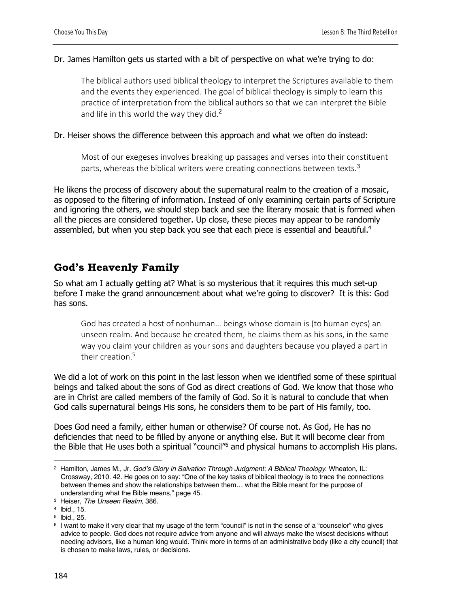#### Dr. James Hamilton gets us started with a bit of perspective on what we're trying to do:

The biblical authors used biblical theology to interpret the Scriptures available to them and the events they experienced. The goal of biblical theology is simply to learn this practice of interpretation from the biblical authors so that we can interpret the Bible and life in this world the way they did. $2$ 

#### Dr. Heiser shows the difference between this approach and what we often do instead:

Most of our exegeses involves breaking up passages and verses into their constituent parts, whereas the biblical writers were creating connections between texts.<sup>3</sup>

He likens the process of discovery about the supernatural realm to the creation of a mosaic, as opposed to the filtering of information. Instead of only examining certain parts of Scripture and ignoring the others, we should step back and see the literary mosaic that is formed when all the pieces are considered together. Up close, these pieces may appear to be randomly assembled, but when you step back you see that each piece is essential and beautiful.<sup>4</sup>

# **God's Heavenly Family**

So what am I actually getting at? What is so mysterious that it requires this much set-up before I make the grand announcement about what we're going to discover? It is this: God has sons.

God has created a host of nonhuman… beings whose domain is (to human eyes) an unseen realm. And because he created them, he claims them as his sons, in the same way you claim your children as your sons and daughters because you played a part in their creation.<sup>5</sup>

We did a lot of work on this point in the last lesson when we identified some of these spiritual beings and talked about the sons of God as direct creations of God. We know that those who are in Christ are called members of the family of God. So it is natural to conclude that when God calls supernatural beings His sons, he considers them to be part of His family, too.

Does God need a family, either human or otherwise? Of course not. As God, He has no deficiencies that need to be filled by anyone or anything else. But it will become clear from the Bible that He uses both a spiritual "council"<sup>6</sup> and physical humans to accomplish His plans.

<sup>2</sup> Hamilton, James M., Jr. *God's Glory in Salvation Through Judgment: A Biblical Theology*. Wheaton, IL: Crossway, 2010. 42. He goes on to say: "One of the key tasks of biblical theology is to trace the connections between themes and show the relationships between them… what the Bible meant for the purpose of understanding what the Bible means," page 45.

<sup>3</sup> Heiser, *The Unseen Realm,* 386.

<sup>4</sup> Ibid., 15.

<sup>5</sup> Ibid., 25.

<sup>6</sup> I want to make it very clear that my usage of the term "council" is not in the sense of a "counselor" who gives advice to people. God does not require advice from anyone and will always make the wisest decisions without needing advisors, like a human king would. Think more in terms of an administrative body (like a city council) that is chosen to make laws, rules, or decisions.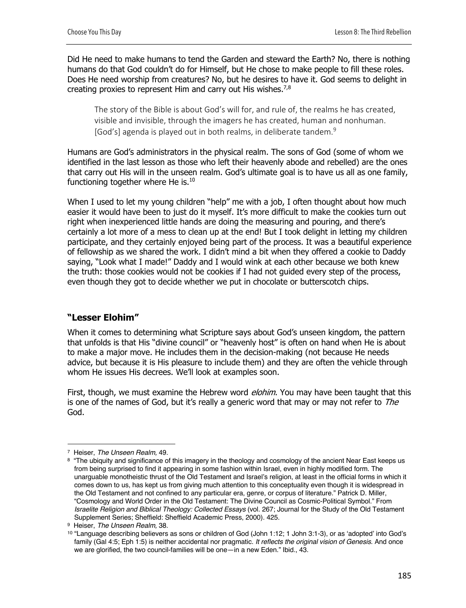Did He need to make humans to tend the Garden and steward the Earth? No, there is nothing humans do that God couldn't do for Himself, but He chose to make people to fill these roles. Does He need worship from creatures? No, but he desires to have it. God seems to delight in creating proxies to represent Him and carry out His wishes.<sup>7,8</sup>

The story of the Bible is about God's will for, and rule of, the realms he has created, visible and invisible, through the imagers he has created, human and nonhuman. [God's] agenda is played out in both realms, in deliberate tandem.<sup>9</sup>

Humans are God's administrators in the physical realm. The sons of God (some of whom we identified in the last lesson as those who left their heavenly abode and rebelled) are the ones that carry out His will in the unseen realm. God's ultimate goal is to have us all as one family, functioning together where He is.<sup>10</sup>

When I used to let my young children "help" me with a job, I often thought about how much easier it would have been to just do it myself. It's more difficult to make the cookies turn out right when inexperienced little hands are doing the measuring and pouring, and there's certainly a lot more of a mess to clean up at the end! But I took delight in letting my children participate, and they certainly enjoyed being part of the process. It was a beautiful experience of fellowship as we shared the work. I didn't mind a bit when they offered a cookie to Daddy saying, "Look what I made!" Daddy and I would wink at each other because we both knew the truth: those cookies would not be cookies if I had not guided every step of the process, even though they got to decide whether we put in chocolate or butterscotch chips.

### **"Lesser Elohim"**

When it comes to determining what Scripture says about God's unseen kingdom, the pattern that unfolds is that His "divine council" or "heavenly host" is often on hand when He is about to make a major move. He includes them in the decision-making (not because He needs advice, but because it is His pleasure to include them) and they are often the vehicle through whom He issues His decrees. We'll look at examples soon.

First, though, we must examine the Hebrew word *elohim*. You may have been taught that this is one of the names of God, but it's really a generic word that may or may not refer to The God.

<sup>7</sup> Heiser, *The Unseen Realm,* 49.

<sup>8 &</sup>quot;The ubiquity and significance of this imagery in the theology and cosmology of the ancient Near East keeps us from being surprised to find it appearing in some fashion within Israel, even in highly modified form. The unarguable monotheistic thrust of the Old Testament and Israel's religion, at least in the official forms in which it comes down to us, has kept us from giving much attention to this conceptuality even though it is widespread in the Old Testament and not confined to any particular era, genre, or corpus of literature." Patrick D. Miller, "Cosmology and World Order in the Old Testament: The Divine Council as Cosmic-Political Symbol." From *Israelite Religion and Biblical Theology: Collected Essays* (vol. 267; Journal for the Study of the Old Testament Supplement Series; Sheffield: Sheffield Academic Press, 2000). 425.

<sup>9</sup> Heiser, *The Unseen Realm,* 38.

 $10$  "Language describing believers as sons or children of God (John 1:12; 1 John 3:1-3), or as 'adopted' into God's family (Gal 4:5; Eph 1:5) is neither accidental nor pragmatic. *It reflects the original vision of Genesis*. And once we are glorified, the two council-families will be one—in a new Eden." Ibid., 43.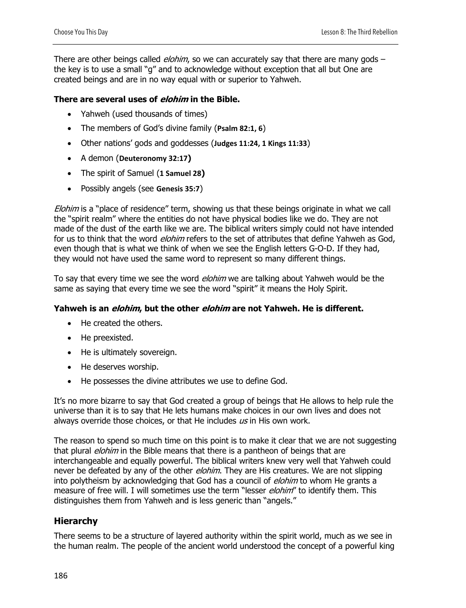There are other beings called *elohim*, so we can accurately say that there are many gods – the key is to use a small "g" and to acknowledge without exception that all but One are created beings and are in no way equal with or superior to Yahweh.

#### **There are several uses of elohim in the Bible.**

- Yahweh (used thousands of times)
- The members of God's divine family (**Psalm 82:1, 6**)
- Other nations' gods and goddesses (**Judges 11:24, 1 Kings 11:33**)
- A demon (**Deuteronomy 32:17)**
- The spirit of Samuel (**1 Samuel 28)**
- Possibly angels (see **Genesis 35:7**)

Elohim is a "place of residence" term, showing us that these beings originate in what we call the "spirit realm" where the entities do not have physical bodies like we do. They are not made of the dust of the earth like we are. The biblical writers simply could not have intended for us to think that the word *elohim* refers to the set of attributes that define Yahweh as God, even though that is what we think of when we see the English letters G-O-D. If they had, they would not have used the same word to represent so many different things.

To say that every time we see the word *elohim* we are talking about Yahweh would be the same as saying that every time we see the word "spirit" it means the Holy Spirit.

#### **Yahweh is an elohim, but the other elohim are not Yahweh. He is different.**

- He created the others.
- He preexisted.
- He is ultimately sovereign.
- He deserves worship.
- He possesses the divine attributes we use to define God.

It's no more bizarre to say that God created a group of beings that He allows to help rule the universe than it is to say that He lets humans make choices in our own lives and does not always override those choices, or that He includes  $\mu s$  in His own work.

The reason to spend so much time on this point is to make it clear that we are not suggesting that plural *elohim* in the Bible means that there is a pantheon of beings that are interchangeable and equally powerful. The biblical writers knew very well that Yahweh could never be defeated by any of the other *elohim*. They are His creatures. We are not slipping into polytheism by acknowledging that God has a council of *elohim* to whom He grants a measure of free will. I will sometimes use the term "lesser *elohim"* to identify them. This distinguishes them from Yahweh and is less generic than "angels."

### **Hierarchy**

There seems to be a structure of layered authority within the spirit world, much as we see in the human realm. The people of the ancient world understood the concept of a powerful king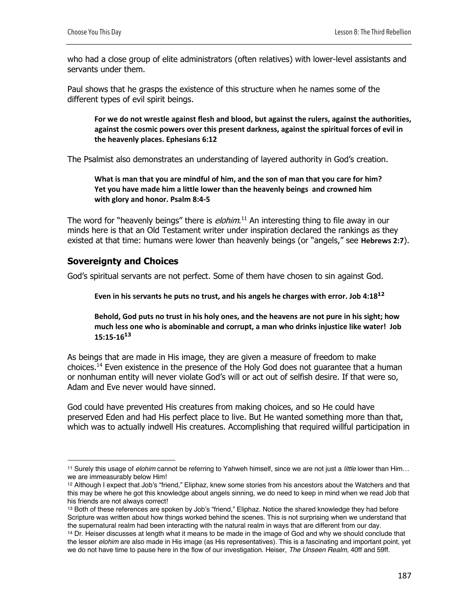who had a close group of elite administrators (often relatives) with lower-level assistants and servants under them.

Paul shows that he grasps the existence of this structure when he names some of the different types of evil spirit beings.

**For we do not wrestle against flesh and blood, but against the rulers, against the authorities, against the cosmic powers over this present darkness, against the spiritual forces of evil in the heavenly places. Ephesians 6:12**

The Psalmist also demonstrates an understanding of layered authority in God's creation.

**What is man that you are mindful of him, and the son of man that you care for him? Yet you have made him a little lower than the heavenly beings and crowned him with glory and honor. Psalm 8:4-5**

The word for "heavenly beings" there is *elohim*.<sup>11</sup> An interesting thing to file away in our minds here is that an Old Testament writer under inspiration declared the rankings as they existed at that time: humans were lower than heavenly beings (or "angels," see **Hebrews 2:7**).

### **Sovereignty and Choices**

God's spiritual servants are not perfect. Some of them have chosen to sin against God.

**Even in his servants he puts no trust, and his angels he charges with error. Job 4:18<sup>12</sup>**

**Behold, God puts no trust in his holy ones, and the heavens are not pure in his sight; how much less one who is abominable and corrupt, a man who drinks injustice like water! Job 15:15-16<sup>13</sup>**

As beings that are made in His image, they are given a measure of freedom to make choices.14 Even existence in the presence of the Holy God does not guarantee that a human or nonhuman entity will never violate God's will or act out of selfish desire. If that were so, Adam and Eve never would have sinned.

God could have prevented His creatures from making choices, and so He could have preserved Eden and had His perfect place to live. But He wanted something more than that, which was to actually indwell His creatures. Accomplishing that required willful participation in

<sup>11</sup> Surely this usage of *elohim* cannot be referring to Yahweh himself, since we are not just a *little* lower than Him… we are immeasurably below Him!

<sup>12</sup> Although I expect that Job's "friend," Eliphaz, knew some stories from his ancestors about the Watchers and that this may be where he got this knowledge about angels sinning, we do need to keep in mind when we read Job that his friends are not always correct!

<sup>13</sup> Both of these references are spoken by Job's "friend," Eliphaz. Notice the shared knowledge they had before Scripture was written about how things worked behind the scenes. This is not surprising when we understand that the supernatural realm had been interacting with the natural realm in ways that are different from our day.

<sup>&</sup>lt;sup>14</sup> Dr. Heiser discusses at length what it means to be made in the image of God and why we should conclude that the lesser *elohim* are also made in His image (as His representatives). This is a fascinating and important point, yet we do not have time to pause here in the flow of our investigation. Heiser, *The Unseen Realm,* 40ff and 59ff.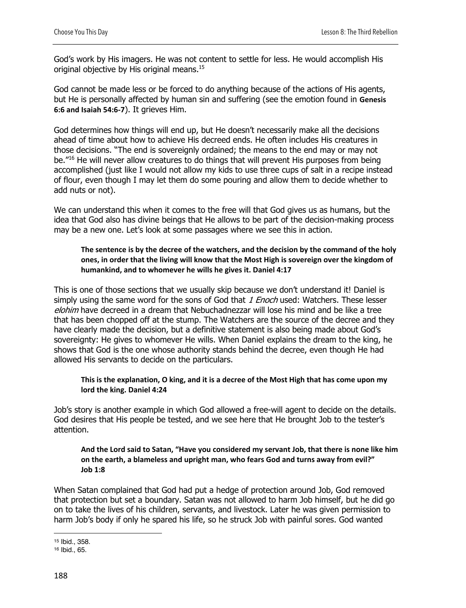God's work by His imagers. He was not content to settle for less. He would accomplish His original objective by His original means.<sup>15</sup>

God cannot be made less or be forced to do anything because of the actions of His agents, but He is personally affected by human sin and suffering (see the emotion found in **Genesis 6:6 and Isaiah 54:6-7**). It grieves Him.

God determines how things will end up, but He doesn't necessarily make all the decisions ahead of time about how to achieve His decreed ends. He often includes His creatures in those decisions. "The end is sovereignly ordained; the means to the end may or may not be."16 He will never allow creatures to do things that will prevent His purposes from being accomplished (just like I would not allow my kids to use three cups of salt in a recipe instead of flour, even though I may let them do some pouring and allow them to decide whether to add nuts or not).

We can understand this when it comes to the free will that God gives us as humans, but the idea that God also has divine beings that He allows to be part of the decision-making process may be a new one. Let's look at some passages where we see this in action.

#### **The sentence is by the decree of the watchers, and the decision by the command of the holy ones, in order that the living will know that the Most High is sovereign over the kingdom of humankind, and to whomever he wills he gives it. Daniel 4:17**

This is one of those sections that we usually skip because we don't understand it! Daniel is simply using the same word for the sons of God that 1 Enoch used: Watchers. These lesser elohim have decreed in a dream that Nebuchadnezzar will lose his mind and be like a tree that has been chopped off at the stump. The Watchers are the source of the decree and they have clearly made the decision, but a definitive statement is also being made about God's sovereignty: He gives to whomever He wills. When Daniel explains the dream to the king, he shows that God is the one whose authority stands behind the decree, even though He had allowed His servants to decide on the particulars.

#### **This is the explanation, O king, and it is a decree of the Most High that has come upon my lord the king. Daniel 4:24**

Job's story is another example in which God allowed a free-will agent to decide on the details. God desires that His people be tested, and we see here that He brought Job to the tester's attention.

#### **And the Lord said to Satan, "Have you considered my servant Job, that there is none like him on the earth, a blameless and upright man, who fears God and turns away from evil?" Job 1:8**

When Satan complained that God had put a hedge of protection around Job, God removed that protection but set a boundary. Satan was not allowed to harm Job himself, but he did go on to take the lives of his children, servants, and livestock. Later he was given permission to harm Job's body if only he spared his life, so he struck Job with painful sores. God wanted

<sup>15</sup> Ibid., 358.

<sup>16</sup> Ibid., 65.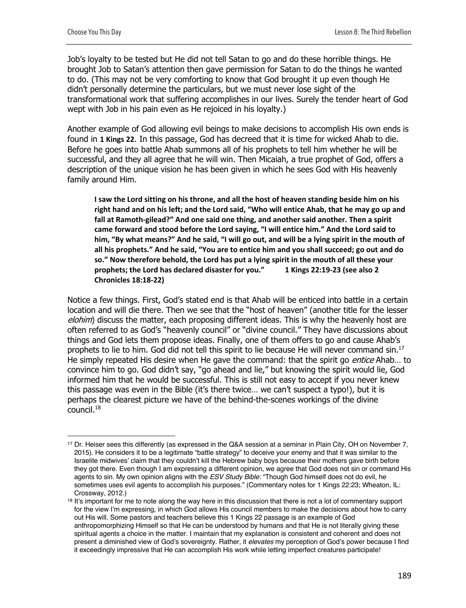Job's loyalty to be tested but He did not tell Satan to go and do these horrible things. He brought Job to Satan's attention then gave permission for Satan to do the things he wanted to do. (This may not be very comforting to know that God brought it up even though He didn't personally determine the particulars, but we must never lose sight of the transformational work that suffering accomplishes in our lives. Surely the tender heart of God wept with Job in his pain even as He rejoiced in his loyalty.)

Another example of God allowing evil beings to make decisions to accomplish His own ends is found in **1 Kings 22**. In this passage, God has decreed that it is time for wicked Ahab to die. Before he goes into battle Ahab summons all of his prophets to tell him whether he will be successful, and they all agree that he will win. Then Micaiah, a true prophet of God, offers a description of the unique vision he has been given in which he sees God with His heavenly family around Him.

**I saw the Lord sitting on his throne, and all the host of heaven standing beside him on his right hand and on his left; and the Lord said, "Who will entice Ahab, that he may go up and fall at Ramoth-gilead?" And one said one thing, and another said another. Then a spirit came forward and stood before the Lord saying, "I will entice him." And the Lord said to him, "By what means?" And he said, "I will go out, and will be a lying spirit in the mouth of all his prophets." And he said, "You are to entice him and you shall succeed; go out and do so." Now therefore behold, the Lord has put a lying spirit in the mouth of all these your prophets; the Lord has declared disaster for you." 1 Kings 22:19-23 (see also 2 Chronicles 18:18-22)**

Notice a few things. First, God's stated end is that Ahab will be enticed into battle in a certain location and will die there. Then we see that the "host of heaven" (another title for the lesser elohim) discuss the matter, each proposing different ideas. This is why the heavenly host are often referred to as God's "heavenly council" or "divine council." They have discussions about things and God lets them propose ideas. Finally, one of them offers to go and cause Ahab's prophets to lie to him. God did not tell this spirit to lie because He will never command sin.<sup>17</sup> He simply repeated His desire when He gave the command: that the spirit go *entice* Ahab... to convince him to go. God didn't say, "go ahead and lie," but knowing the spirit would lie, God informed him that he would be successful. This is still not easy to accept if you never knew this passage was even in the Bible (it's there twice… we can't suspect a typo!), but it is perhaps the clearest picture we have of the behind-the-scenes workings of the divine council.18

<sup>17</sup> Dr. Heiser sees this differently (as expressed in the Q&A session at a seminar in Plain City, OH on November 7, 2015). He considers it to be a legitimate "battle strategy" to deceive your enemy and that it was similar to the Israelite midwives' claim that they couldn't kill the Hebrew baby boys because their mothers gave birth before they got there. Even though I am expressing a different opinion, we agree that God does not sin or command His agents to sin. My own opinion aligns with the *ESV Study Bible:* "Though God himself does not do evil, he sometimes uses evil agents to accomplish his purposes." (Commentary notes for 1 Kings 22:23; Wheaton, IL: Crossway, 2012.)

<sup>&</sup>lt;sup>18</sup> It's important for me to note along the way here in this discussion that there is not a lot of commentary support for the view I'm expressing, in which God allows His council members to make the decisions about how to carry out His will. Some pastors and teachers believe this 1 Kings 22 passage is an example of God anthropomorphizing Himself so that He can be understood by humans and that He is not literally giving these spiritual agents a choice in the matter. I maintain that my explanation is consistent and coherent and does not present a diminished view of God's sovereignty. Rather, it *elevates* my perception of God's power because I find it exceedingly impressive that He can accomplish His work while letting imperfect creatures participate!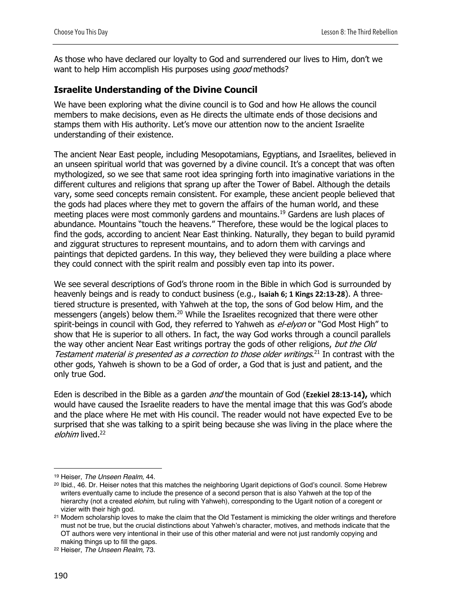As those who have declared our loyalty to God and surrendered our lives to Him, don't we want to help Him accomplish His purposes using *good* methods?

### **Israelite Understanding of the Divine Council**

We have been exploring what the divine council is to God and how He allows the council members to make decisions, even as He directs the ultimate ends of those decisions and stamps them with His authority. Let's move our attention now to the ancient Israelite understanding of their existence.

The ancient Near East people, including Mesopotamians, Egyptians, and Israelites, believed in an unseen spiritual world that was governed by a divine council. It's a concept that was often mythologized, so we see that same root idea springing forth into imaginative variations in the different cultures and religions that sprang up after the Tower of Babel. Although the details vary, some seed concepts remain consistent. For example, these ancient people believed that the gods had places where they met to govern the affairs of the human world, and these meeting places were most commonly gardens and mountains.<sup>19</sup> Gardens are lush places of abundance. Mountains "touch the heavens." Therefore, these would be the logical places to find the gods, according to ancient Near East thinking. Naturally, they began to build pyramid and ziggurat structures to represent mountains, and to adorn them with carvings and paintings that depicted gardens. In this way, they believed they were building a place where they could connect with the spirit realm and possibly even tap into its power.

We see several descriptions of God's throne room in the Bible in which God is surrounded by heavenly beings and is ready to conduct business (e.g., **Isaiah 6; 1 Kings 22:13-28**). A threetiered structure is presented, with Yahweh at the top, the sons of God below Him, and the messengers (angels) below them.<sup>20</sup> While the Israelites recognized that there were other spirit-beings in council with God, they referred to Yahweh as el-elyon or "God Most High" to show that He is superior to all others. In fact, the way God works through a council parallels the way other ancient Near East writings portray the gods of other religions, but the Old Testament material is presented as a correction to those older writings.<sup>21</sup> In contrast with the other gods, Yahweh is shown to be a God of order, a God that is just and patient, and the only true God.

Eden is described in the Bible as a garden and the mountain of God (**Ezekiel 28:13-14),** which would have caused the Israelite readers to have the mental image that this was God's abode and the place where He met with His council. The reader would not have expected Eve to be surprised that she was talking to a spirit being because she was living in the place where the elohim lived.<sup>22</sup>

<sup>19</sup> Heiser, *The Unseen Realm,* 44.

<sup>20</sup> Ibid., 46. Dr. Heiser notes that this matches the neighboring Ugarit depictions of God's council. Some Hebrew writers eventually came to include the presence of a second person that is also Yahweh at the top of the hierarchy (not a created *elohim*, but ruling with Yahweh), corresponding to the Ugarit notion of a coregent or vizier with their high god.

<sup>&</sup>lt;sup>21</sup> Modern scholarship loves to make the claim that the Old Testament is mimicking the older writings and therefore must not be true, but the crucial distinctions about Yahweh's character, motives, and methods indicate that the OT authors were very intentional in their use of this other material and were not just randomly copying and making things up to fill the gaps.

<sup>22</sup> Heiser, *The Unseen Realm,* 73.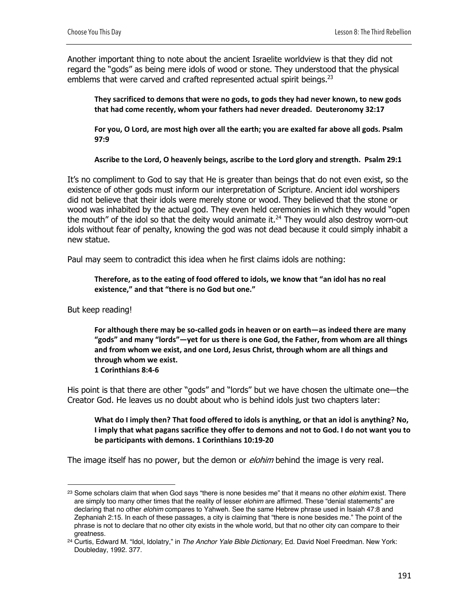Another important thing to note about the ancient Israelite worldview is that they did not regard the "gods" as being mere idols of wood or stone. They understood that the physical emblems that were carved and crafted represented actual spirit beings.<sup>23</sup>

**They sacrificed to demons that were no gods, to gods they had never known, to new gods that had come recently, whom your fathers had never dreaded. Deuteronomy 32:17**

**For you, O Lord, are most high over all the earth; you are exalted far above all gods. Psalm 97:9**

**Ascribe to the Lord, O heavenly beings, ascribe to the Lord glory and strength. Psalm 29:1**

It's no compliment to God to say that He is greater than beings that do not even exist, so the existence of other gods must inform our interpretation of Scripture. Ancient idol worshipers did not believe that their idols were merely stone or wood. They believed that the stone or wood was inhabited by the actual god. They even held ceremonies in which they would "open the mouth" of the idol so that the deity would animate it. $^{24}$  They would also destroy worn-out idols without fear of penalty, knowing the god was not dead because it could simply inhabit a new statue.

Paul may seem to contradict this idea when he first claims idols are nothing:

**Therefore, as to the eating of food offered to idols, we know that "an idol has no real existence," and that "there is no God but one."** 

But keep reading!

**For although there may be so-called gods in heaven or on earth—as indeed there are many "gods" and many "lords"—yet for us there is one God, the Father, from whom are all things and from whom we exist, and one Lord, Jesus Christ, through whom are all things and through whom we exist. 1 Corinthians 8:4-6**

His point is that there are other "gods" and "lords" but we have chosen the ultimate one—the Creator God. He leaves us no doubt about who is behind idols just two chapters later:

**What do I imply then? That food offered to idols is anything, or that an idol is anything? No, I imply that what pagans sacrifice they offer to demons and not to God. I do not want you to be participants with demons. 1 Corinthians 10:19-20**

The image itself has no power, but the demon or *elohim* behind the image is very real.

<sup>23</sup> Some scholars claim that when God says "there is none besides me" that it means no other *elohim* exist. There are simply too many other times that the reality of lesser *elohim* are affirmed. These "denial statements" are declaring that no other *elohim* compares to Yahweh. See the same Hebrew phrase used in Isaiah 47:8 and Zephaniah 2:15. In each of these passages, a city is claiming that "there is none besides me." The point of the phrase is not to declare that no other city exists in the whole world, but that no other city can compare to their

greatness. 24 Curtis, Edward M. "Idol, Idolatry," in *The Anchor Yale Bible Dictionary*, Ed. David Noel Freedman. New York: Doubleday, 1992. 377.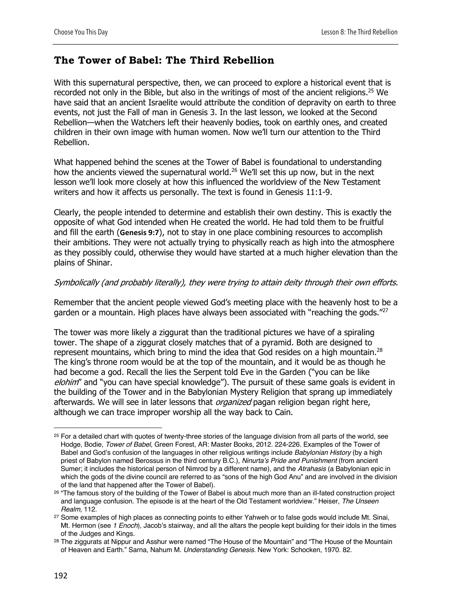# **The Tower of Babel: The Third Rebellion**

With this supernatural perspective, then, we can proceed to explore a historical event that is recorded not only in the Bible, but also in the writings of most of the ancient religions.<sup>25</sup> We have said that an ancient Israelite would attribute the condition of depravity on earth to three events, not just the Fall of man in Genesis 3. In the last lesson, we looked at the Second Rebellion—when the Watchers left their heavenly bodies, took on earthly ones, and created children in their own image with human women. Now we'll turn our attention to the Third Rebellion.

What happened behind the scenes at the Tower of Babel is foundational to understanding how the ancients viewed the supernatural world.<sup>26</sup> We'll set this up now, but in the next lesson we'll look more closely at how this influenced the worldview of the New Testament writers and how it affects us personally. The text is found in Genesis 11:1-9.

Clearly, the people intended to determine and establish their own destiny. This is exactly the opposite of what God intended when He created the world. He had told them to be fruitful and fill the earth (**Genesis 9:7**), not to stay in one place combining resources to accomplish their ambitions. They were not actually trying to physically reach as high into the atmosphere as they possibly could, otherwise they would have started at a much higher elevation than the plains of Shinar.

#### Symbolically (and probably literally), they were trying to attain deity through their own efforts.

Remember that the ancient people viewed God's meeting place with the heavenly host to be a garden or a mountain. High places have always been associated with "reaching the gods."<sup>27</sup>

The tower was more likely a ziggurat than the traditional pictures we have of a spiraling tower. The shape of a ziggurat closely matches that of a pyramid. Both are designed to represent mountains, which bring to mind the idea that God resides on a high mountain.<sup>28</sup> The king's throne room would be at the top of the mountain, and it would be as though he had become a god. Recall the lies the Serpent told Eve in the Garden ("you can be like elohim" and "you can have special knowledge"). The pursuit of these same goals is evident in the building of the Tower and in the Babylonian Mystery Religion that sprang up immediately afterwards. We will see in later lessons that *organized* pagan religion began right here, although we can trace improper worship all the way back to Cain.

<sup>&</sup>lt;sup>25</sup> For a detailed chart with quotes of twenty-three stories of the language division from all parts of the world, see Hodge, Bodie, *Tower of Babel*, Green Forest, AR: Master Books, 2012. 224-226. Examples of the Tower of Babel and God's confusion of the languages in other religious writings include *Babylonian History* (by a high priest of Babylon named Berossus in the third century B.C.), *Ninurta's Pride and Punishment* (from ancient Sumer; it includes the historical person of Nimrod by a different name), and the *Atrahasis* (a Babylonian epic in which the gods of the divine council are referred to as "sons of the high God Anu" and are involved in the division of the land that happened after the Tower of Babel).

<sup>&</sup>lt;sup>26</sup> "The famous story of the building of the Tower of Babel is about much more than an ill-fated construction project and language confusion. The episode is at the heart of the Old Testament worldview." Heiser, *The Unseen Realm,* 112.

<sup>&</sup>lt;sup>27</sup> Some examples of high places as connecting points to either Yahweh or to false gods would include Mt. Sinai, Mt. Hermon (see *1 Enoch*), Jacob's stairway, and all the altars the people kept building for their idols in the times of the Judges and Kings.

<sup>&</sup>lt;sup>28</sup> The ziggurats at Nippur and Asshur were named "The House of the Mountain" and "The House of the Mountain of Heaven and Earth." Sarna, Nahum M. *Understanding Genesis*. New York: Schocken, 1970. 82.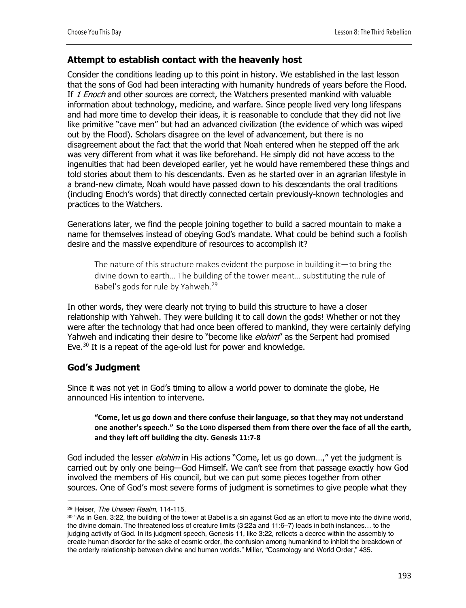#### **Attempt to establish contact with the heavenly host**

Consider the conditions leading up to this point in history. We established in the last lesson that the sons of God had been interacting with humanity hundreds of years before the Flood. If 1 Enoch and other sources are correct, the Watchers presented mankind with valuable information about technology, medicine, and warfare. Since people lived very long lifespans and had more time to develop their ideas, it is reasonable to conclude that they did not live like primitive "cave men" but had an advanced civilization (the evidence of which was wiped out by the Flood). Scholars disagree on the level of advancement, but there is no disagreement about the fact that the world that Noah entered when he stepped off the ark was very different from what it was like beforehand. He simply did not have access to the ingenuities that had been developed earlier, yet he would have remembered these things and told stories about them to his descendants. Even as he started over in an agrarian lifestyle in a brand-new climate, Noah would have passed down to his descendants the oral traditions (including Enoch's words) that directly connected certain previously-known technologies and practices to the Watchers.

Generations later, we find the people joining together to build a sacred mountain to make a name for themselves instead of obeying God's mandate. What could be behind such a foolish desire and the massive expenditure of resources to accomplish it?

The nature of this structure makes evident the purpose in building it—to bring the divine down to earth… The building of the tower meant… substituting the rule of Babel's gods for rule by Yahweh.29

In other words, they were clearly not trying to build this structure to have a closer relationship with Yahweh. They were building it to call down the gods! Whether or not they were after the technology that had once been offered to mankind, they were certainly defying Yahweh and indicating their desire to "become like *elohim*" as the Serpent had promised Eve.<sup>30</sup> It is a repeat of the age-old lust for power and knowledge.

### **God's Judgment**

Since it was not yet in God's timing to allow a world power to dominate the globe, He announced His intention to intervene.

#### **"Come, let us go down and there confuse their language, so that they may not understand one another's speech." So the LORD dispersed them from there over the face of all the earth, and they left off building the city. Genesis 11:7-8**

God included the lesser *elohim* in His actions "Come, let us go down...," yet the judgment is carried out by only one being—God Himself. We can't see from that passage exactly how God involved the members of His council, but we can put some pieces together from other sources. One of God's most severe forms of judgment is sometimes to give people what they

<sup>29</sup> Heiser, *The Unseen Realm,* 114-115.

<sup>30 &</sup>quot;As in Gen. 3:22, the building of the tower at Babel is a sin against God as an effort to move into the divine world, the divine domain. The threatened loss of creature limits (3:22a and 11:6–7) leads in both instances… to the judging activity of God. In its judgment speech, Genesis 11, like 3:22, reflects a decree within the assembly to create human disorder for the sake of cosmic order, the confusion among humankind to inhibit the breakdown of the orderly relationship between divine and human worlds." Miller, "Cosmology and World Order," 435.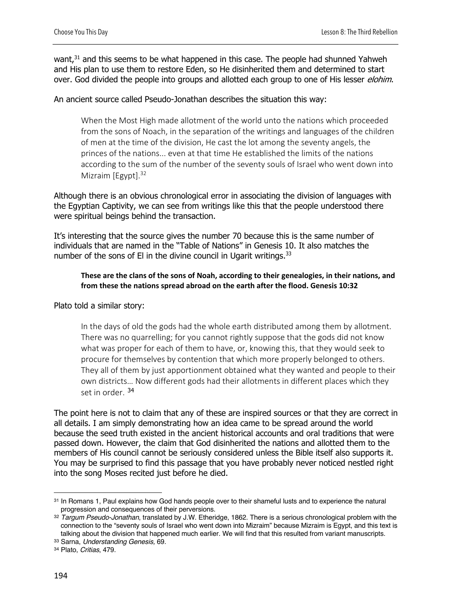want,<sup>31</sup> and this seems to be what happened in this case. The people had shunned Yahweh and His plan to use them to restore Eden, so He disinherited them and determined to start over. God divided the people into groups and allotted each group to one of His lesser *elohim*.

#### An ancient source called Pseudo-Jonathan describes the situation this way:

When the Most High made allotment of the world unto the nations which proceeded from the sons of Noach, in the separation of the writings and languages of the children of men at the time of the division, He cast the lot among the seventy angels, the princes of the nations... even at that time He established the limits of the nations according to the sum of the number of the seventy souls of Israel who went down into Mizraim [Egypt].<sup>32</sup>

Although there is an obvious chronological error in associating the division of languages with the Egyptian Captivity, we can see from writings like this that the people understood there were spiritual beings behind the transaction.

It's interesting that the source gives the number 70 because this is the same number of individuals that are named in the "Table of Nations" in Genesis 10. It also matches the number of the sons of El in the divine council in Ugarit writings.  $33$ 

#### **These are the clans of the sons of Noah, according to their genealogies, in their nations, and from these the nations spread abroad on the earth after the flood. Genesis 10:32**

Plato told a similar story:

In the days of old the gods had the whole earth distributed among them by allotment. There was no quarrelling; for you cannot rightly suppose that the gods did not know what was proper for each of them to have, or, knowing this, that they would seek to procure for themselves by contention that which more properly belonged to others. They all of them by just apportionment obtained what they wanted and people to their own districts… Now different gods had their allotments in different places which they set in order.<sup>34</sup>

The point here is not to claim that any of these are inspired sources or that they are correct in all details. I am simply demonstrating how an idea came to be spread around the world because the seed truth existed in the ancient historical accounts and oral traditions that were passed down. However, the claim that God disinherited the nations and allotted them to the members of His council cannot be seriously considered unless the Bible itself also supports it. You may be surprised to find this passage that you have probably never noticed nestled right into the song Moses recited just before he died.

<sup>31</sup> In Romans 1, Paul explains how God hands people over to their shameful lusts and to experience the natural progression and consequences of their perversions.

<sup>32</sup> *Targum Pseudo-Jonathan*, translated by J.W. Etheridge, 1862. There is a serious chronological problem with the connection to the "seventy souls of Israel who went down into Mizraim" because Mizraim is Egypt, and this text is talking about the division that happened much earlier. We will find that this resulted from variant manuscripts.

<sup>33</sup> Sarna, *Understanding Genesis,* 69.

<sup>34</sup> Plato, *Critias*, 479.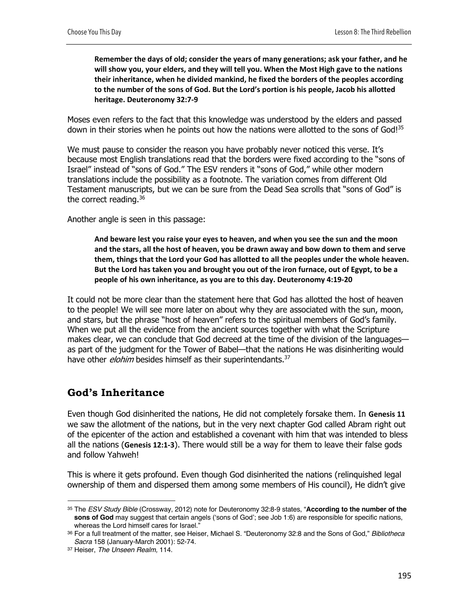**Remember the days of old; consider the years of many generations; ask your father, and he will show you, your elders, and they will tell you. When the Most High gave to the nations their inheritance, when he divided mankind, he fixed the borders of the peoples according to the number of the sons of God. But the Lord's portion is his people, Jacob his allotted heritage. Deuteronomy 32:7-9**

Moses even refers to the fact that this knowledge was understood by the elders and passed down in their stories when he points out how the nations were allotted to the sons of God!<sup>35</sup>

We must pause to consider the reason you have probably never noticed this verse. It's because most English translations read that the borders were fixed according to the "sons of Israel" instead of "sons of God." The ESV renders it "sons of God," while other modern translations include the possibility as a footnote. The variation comes from different Old Testament manuscripts, but we can be sure from the Dead Sea scrolls that "sons of God" is the correct reading.<sup>36</sup>

Another angle is seen in this passage:

**And beware lest you raise your eyes to heaven, and when you see the sun and the moon and the stars, all the host of heaven, you be drawn away and bow down to them and serve them, things that the Lord your God has allotted to all the peoples under the whole heaven. But the Lord has taken you and brought you out of the iron furnace, out of Egypt, to be a people of his own inheritance, as you are to this day. Deuteronomy 4:19-20**

It could not be more clear than the statement here that God has allotted the host of heaven to the people! We will see more later on about why they are associated with the sun, moon, and stars, but the phrase "host of heaven" refers to the spiritual members of God's family. When we put all the evidence from the ancient sources together with what the Scripture makes clear, we can conclude that God decreed at the time of the division of the languagesas part of the judgment for the Tower of Babel—that the nations He was disinheriting would have other *elohim* besides himself as their superintendants.<sup>37</sup>

# **God's Inheritance**

Even though God disinherited the nations, He did not completely forsake them. In **Genesis 11** we saw the allotment of the nations, but in the very next chapter God called Abram right out of the epicenter of the action and established a covenant with him that was intended to bless all the nations (**Genesis 12:1-3**). There would still be a way for them to leave their false gods and follow Yahweh!

This is where it gets profound. Even though God disinherited the nations (relinquished legal ownership of them and dispersed them among some members of His council), He didn't give

<sup>35</sup> The *ESV Study Bible* (Crossway, 2012) note for Deuteronomy 32:8-9 states, "**According to the number of the sons of God** may suggest that certain angels ('sons of God'; see Job 1:6) are responsible for specific nations, whereas the Lord himself cares for Israel."

<sup>36</sup> For a full treatment of the matter, see Heiser, Michael S. "Deuteronomy 32:8 and the Sons of God," *Bibliotheca Sacra* 158 (January-March 2001): 52-74.

<sup>37</sup> Heiser, *The Unseen Realm,* 114.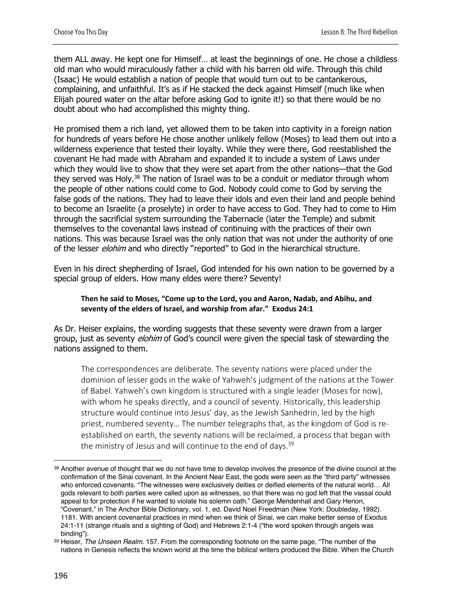them ALL away. He kept one for Himself… at least the beginnings of one. He chose a childless old man who would miraculously father a child with his barren old wife. Through this child (Isaac) He would establish a nation of people that would turn out to be cantankerous, complaining, and unfaithful. It's as if He stacked the deck against Himself (much like when Elijah poured water on the altar before asking God to ignite it!) so that there would be no doubt about who had accomplished this mighty thing.

He promised them a rich land, yet allowed them to be taken into captivity in a foreign nation for hundreds of years before He chose another unlikely fellow (Moses) to lead them out into a wilderness experience that tested their loyalty. While they were there, God reestablished the covenant He had made with Abraham and expanded it to include a system of Laws under which they would live to show that they were set apart from the other nations—that the God they served was Holy.<sup>38</sup> The nation of Israel was to be a conduit or mediator through whom the people of other nations could come to God. Nobody could come to God by serving the false gods of the nations. They had to leave their idols and even their land and people behind to become an Israelite (a proselyte) in order to have access to God. They had to come to Him through the sacrificial system surrounding the Tabernacle (later the Temple) and submit themselves to the covenantal laws instead of continuing with the practices of their own nations. This was because Israel was the only nation that was not under the authority of one of the lesser *elohim* and who directly "reported" to God in the hierarchical structure.

Even in his direct shepherding of Israel, God intended for his own nation to be governed by a special group of elders. How many eldes were there? Seventy!

#### **Then he said to Moses, "Come up to the Lord, you and Aaron, Nadab, and Abihu, and seventy of the elders of Israel, and worship from afar." Exodus 24:1**

As Dr. Heiser explains, the wording suggests that these seventy were drawn from a larger group, just as seventy *elohim* of God's council were given the special task of stewarding the nations assigned to them.

The correspondences are deliberate. The seventy nations were placed under the dominion of lesser gods in the wake of Yahweh's judgment of the nations at the Tower of Babel. Yahweh's own kingdom is structured with a single leader (Moses for now), with whom he speaks directly, and a council of seventy. Historically, this leadership structure would continue into Jesus' day, as the Jewish Sanhedrin, led by the high priest, numbered seventy… The number telegraphs that, as the kingdom of God is reestablished on earth, the seventy nations will be reclaimed, a process that began with the ministry of Jesus and will continue to the end of days. $39$ 

<sup>38</sup> Another avenue of thought that we do not have time to develop involves the presence of the divine council at the confirmation of the Sinai covenant. In the Ancient Near East, the gods were seen as the "third party" witnesses who enforced covenants. "The witnesses were exclusively deities or deified elements of the natural world… All gods relevant to both parties were called upon as witnesses, so that there was no god left that the vassal could appeal to for protection if he wanted to violate his solemn oath." George Mendenhall and Gary Herion, "Covenant," in The Anchor Bible Dictionary, vol. 1, ed. David Noel Freedman (New York: Doubleday, 1992). 1181. With ancient covenantal practices in mind when we think of Sinai, we can make better sense of Exodus 24:1-11 (strange rituals and a sighting of God) and Hebrews 2:1-4 ("the word spoken through angels was binding").

<sup>39</sup> Heiser, *The Unseen Realm.* 157. From the corresponding footnote on the same page, "The number of the nations in Genesis reflects the known world at the time the biblical writers produced the Bible. When the Church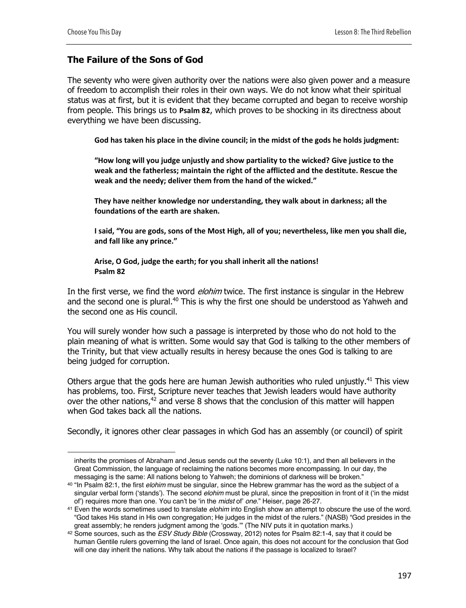## **The Failure of the Sons of God**

The seventy who were given authority over the nations were also given power and a measure of freedom to accomplish their roles in their own ways. We do not know what their spiritual status was at first, but it is evident that they became corrupted and began to receive worship from people. This brings us to **Psalm 82**, which proves to be shocking in its directness about everything we have been discussing.

**God has taken his place in the divine council; in the midst of the gods he holds judgment:**

**"How long will you judge unjustly and show partiality to the wicked? Give justice to the weak and the fatherless; maintain the right of the afflicted and the destitute. Rescue the weak and the needy; deliver them from the hand of the wicked."**

**They have neither knowledge nor understanding, they walk about in darkness; all the foundations of the earth are shaken.**

**I said, "You are gods, sons of the Most High, all of you; nevertheless, like men you shall die, and fall like any prince."** 

#### **Arise, O God, judge the earth; for you shall inherit all the nations! Psalm 82**

In the first verse, we find the word *elohim* twice. The first instance is singular in the Hebrew and the second one is plural.<sup>40</sup> This is why the first one should be understood as Yahweh and the second one as His council.

You will surely wonder how such a passage is interpreted by those who do not hold to the plain meaning of what is written. Some would say that God is talking to the other members of the Trinity, but that view actually results in heresy because the ones God is talking to are being judged for corruption.

Others argue that the gods here are human Jewish authorities who ruled unjustly.<sup>41</sup> This view has problems, too. First, Scripture never teaches that Jewish leaders would have authority over the other nations, $42$  and verse 8 shows that the conclusion of this matter will happen when God takes back all the nations.

Secondly, it ignores other clear passages in which God has an assembly (or council) of spirit

inherits the promises of Abraham and Jesus sends out the seventy (Luke 10:1), and then all believers in the Great Commission, the language of reclaiming the nations becomes more encompassing. In our day, the messaging is the same: All nations belong to Yahweh; the dominions of darkness will be broken."

<sup>40</sup> "In Psalm 82:1, the first *elohim* must be singular, since the Hebrew grammar has the word as the subject of a singular verbal form ('stands'). The second *elohim* must be plural, since the preposition in front of it ('in the midst of') requires more than one. You can't be 'in the *midst* of' *one*." Heiser, page 26-27.

<sup>41</sup> Even the words sometimes used to translate *elohim* into English show an attempt to obscure the use of the word. "God takes His stand in His own congregation; He judges in the midst of the rulers." (NASB) "God presides in the<br>great assembly; he renders judgment among the 'gods."" (The NIV puts it in quotation marks.)

<sup>&</sup>lt;sup>42</sup> Some sources, such as the *ESV Study Bible* (Crossway, 2012) notes for Psalm 82:1-4, say that it could be human Gentile rulers governing the land of Israel. Once again, this does not account for the conclusion that God will one day inherit the nations. Why talk about the nations if the passage is localized to Israel?